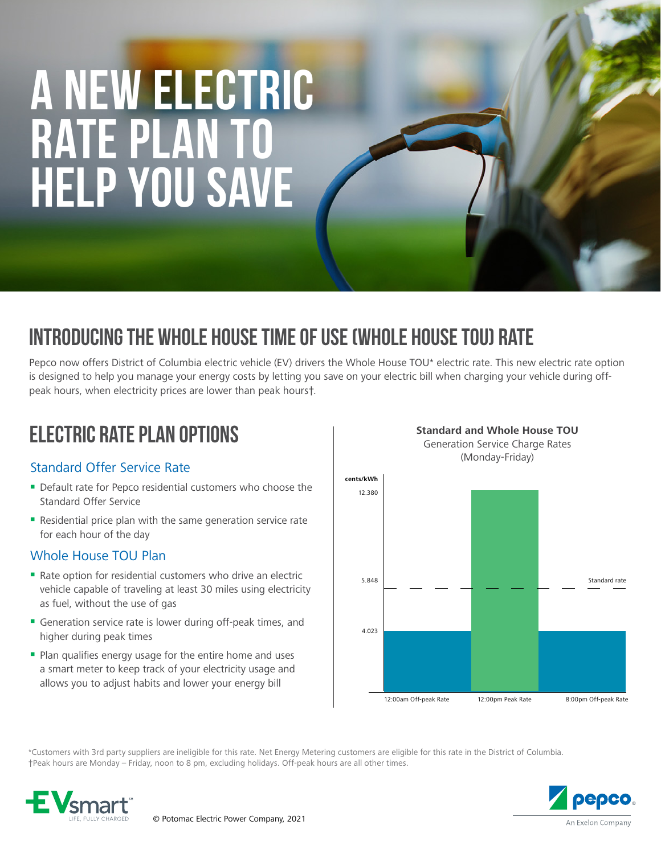# **A NEW ELECTRIC RATE PLAN TO HELP YOU SAVE**

## INTRODUCING THE WHOLE HOUSE TIME OF USE (WHOLE HOUSE TOU) RATE

Pepco now offers District of Columbia electric vehicle (EV) drivers the Whole House TOU\* electric rate. This new electric rate option is designed to help you manage your energy costs by letting you save on your electric bill when charging your vehicle during offpeak hours, when electricity prices are lower than peak hours†.

## ELECTRIC RATE PLAN OPTIONS

#### Standard Offer Service Rate

- Default rate for Pepco residential customers who choose the Standard Offer Service
- Residential price plan with the same generation service rate for each hour of the day

#### Whole House TOU Plan

- Rate option for residential customers who drive an electric vehicle capable of traveling at least 30 miles using electricity as fuel, without the use of gas
- Generation service rate is lower during off-peak times, and higher during peak times
- **Plan qualifies energy usage for the entire home and uses** a smart meter to keep track of your electricity usage and allows you to adjust habits and lower your energy bill



\*Customers with 3rd party suppliers are ineligible for this rate. Net Energy Metering customers are eligible for this rate in the District of Columbia. †Peak hours are Monday – Friday, noon to 8 pm, excluding holidays. Off-peak hours are all other times.